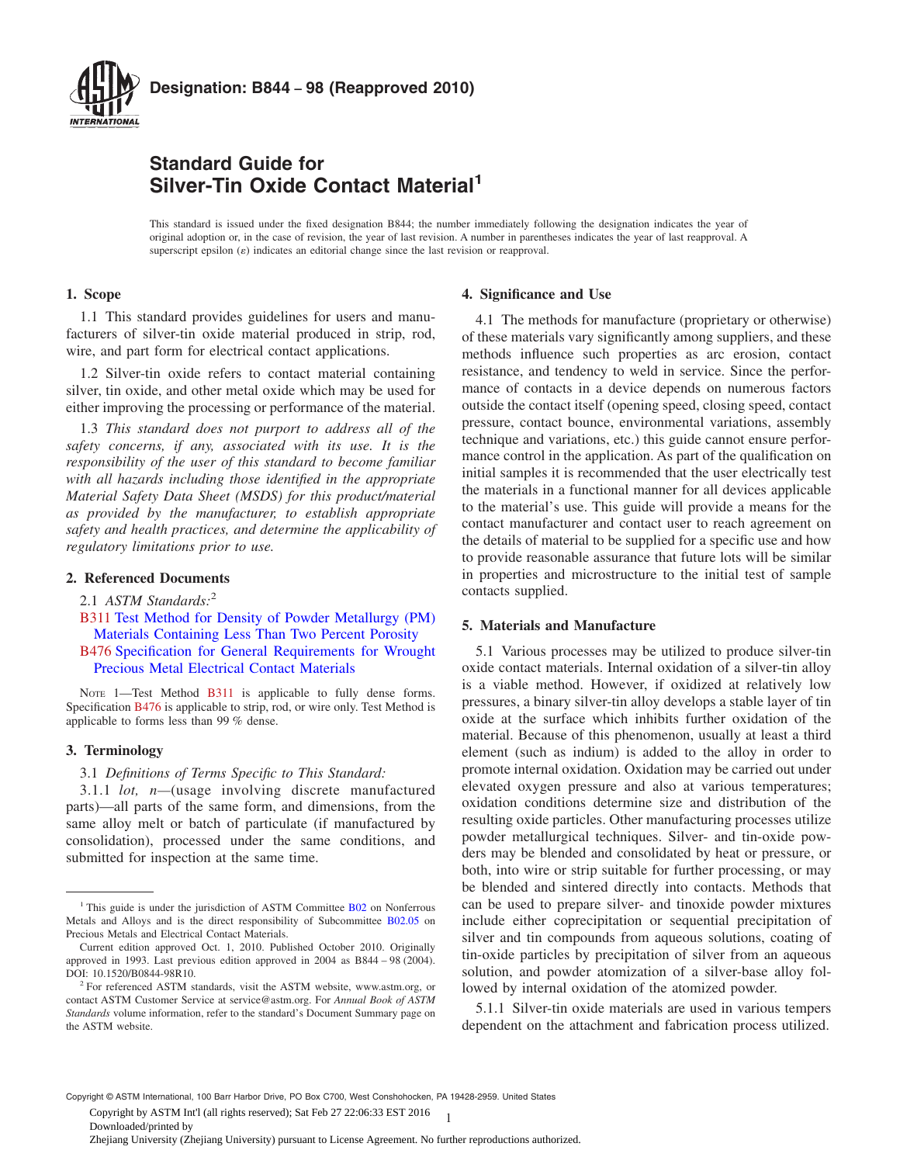<span id="page-0-0"></span>

# **Standard Guide for Silver-Tin Oxide Contact Material<sup>1</sup>**

This standard is issued under the fixed designation B844; the number immediately following the designation indicates the year of original adoption or, in the case of revision, the year of last revision. A number in parentheses indicates the year of last reapproval. A superscript epsilon  $(\varepsilon)$  indicates an editorial change since the last revision or reapproval.

# **1. Scope**

1.1 This standard provides guidelines for users and manufacturers of silver-tin oxide material produced in strip, rod, wire, and part form for electrical contact applications.

1.2 Silver-tin oxide refers to contact material containing silver, tin oxide, and other metal oxide which may be used for either improving the processing or performance of the material.

1.3 *This standard does not purport to address all of the safety concerns, if any, associated with its use. It is the responsibility of the user of this standard to become familiar with all hazards including those identified in the appropriate Material Safety Data Sheet (MSDS) for this product/material as provided by the manufacturer, to establish appropriate safety and health practices, and determine the applicability of regulatory limitations prior to use.*

# **2. Referenced Documents**

- 2.1 *ASTM Standards:*<sup>2</sup>
- B311 [Test Method for Density of Powder Metallurgy \(PM\)](http://dx.doi.org/10.1520/B0311) [Materials Containing Less Than Two Percent Porosity](http://dx.doi.org/10.1520/B0311)
- B476 [Specification for General Requirements for Wrought](http://dx.doi.org/10.1520/B0476) [Precious Metal Electrical Contact Materials](http://dx.doi.org/10.1520/B0476)

NOTE 1—Test Method B311 is applicable to fully dense forms. Specification [B476](#page-1-0) is applicable to strip, rod, or wire only. Test Method is applicable to forms less than 99 % dense.

# **3. Terminology**

3.1 *Definitions of Terms Specific to This Standard:*

3.1.1 *lot, n—*(usage involving discrete manufactured parts)—all parts of the same form, and dimensions, from the same alloy melt or batch of particulate (if manufactured by consolidation), processed under the same conditions, and submitted for inspection at the same time.

#### **4. Significance and Use**

4.1 The methods for manufacture (proprietary or otherwise) of these materials vary significantly among suppliers, and these methods influence such properties as arc erosion, contact resistance, and tendency to weld in service. Since the performance of contacts in a device depends on numerous factors outside the contact itself (opening speed, closing speed, contact pressure, contact bounce, environmental variations, assembly technique and variations, etc.) this guide cannot ensure performance control in the application. As part of the qualification on initial samples it is recommended that the user electrically test the materials in a functional manner for all devices applicable to the material's use. This guide will provide a means for the contact manufacturer and contact user to reach agreement on the details of material to be supplied for a specific use and how to provide reasonable assurance that future lots will be similar in properties and microstructure to the initial test of sample contacts supplied.

# **5. Materials and Manufacture**

5.1 Various processes may be utilized to produce silver-tin oxide contact materials. Internal oxidation of a silver-tin alloy is a viable method. However, if oxidized at relatively low pressures, a binary silver-tin alloy develops a stable layer of tin oxide at the surface which inhibits further oxidation of the material. Because of this phenomenon, usually at least a third element (such as indium) is added to the alloy in order to promote internal oxidation. Oxidation may be carried out under elevated oxygen pressure and also at various temperatures; oxidation conditions determine size and distribution of the resulting oxide particles. Other manufacturing processes utilize powder metallurgical techniques. Silver- and tin-oxide powders may be blended and consolidated by heat or pressure, or both, into wire or strip suitable for further processing, or may be blended and sintered directly into contacts. Methods that can be used to prepare silver- and tinoxide powder mixtures include either coprecipitation or sequential precipitation of silver and tin compounds from aqueous solutions, coating of tin-oxide particles by precipitation of silver from an aqueous solution, and powder atomization of a silver-base alloy followed by internal oxidation of the atomized powder.

5.1.1 Silver-tin oxide materials are used in various tempers dependent on the attachment and fabrication process utilized.

Copyright © ASTM International, 100 Barr Harbor Drive, PO Box C700, West Conshohocken, PA 19428-2959. United States

1 Copyright by ASTM Int'l (all rights reserved); Sat Feb 27 22:06:33 EST 2016

Downloaded/printed by

Zhejiang University (Zhejiang University) pursuant to License Agreement. No further reproductions authorized.

<sup>&</sup>lt;sup>1</sup> This guide is under the jurisdiction of ASTM Committee [B02](http://www.astm.org/COMMIT/COMMITTEE/B02.htm) on Nonferrous Metals and Alloys and is the direct responsibility of Subcommittee [B02.05](http://www.astm.org/COMMIT/SUBCOMMIT/B0205.htm) on Precious Metals and Electrical Contact Materials.

Current edition approved Oct. 1, 2010. Published October 2010. Originally approved in 1993. Last previous edition approved in 2004 as B844 – 98 (2004). DOI: 10.1520/B0844-98R10.

<sup>&</sup>lt;sup>2</sup> For referenced ASTM standards, visit the ASTM website, www.astm.org, or contact ASTM Customer Service at service@astm.org. For *Annual Book of ASTM Standards* volume information, refer to the standard's Document Summary page on the ASTM website.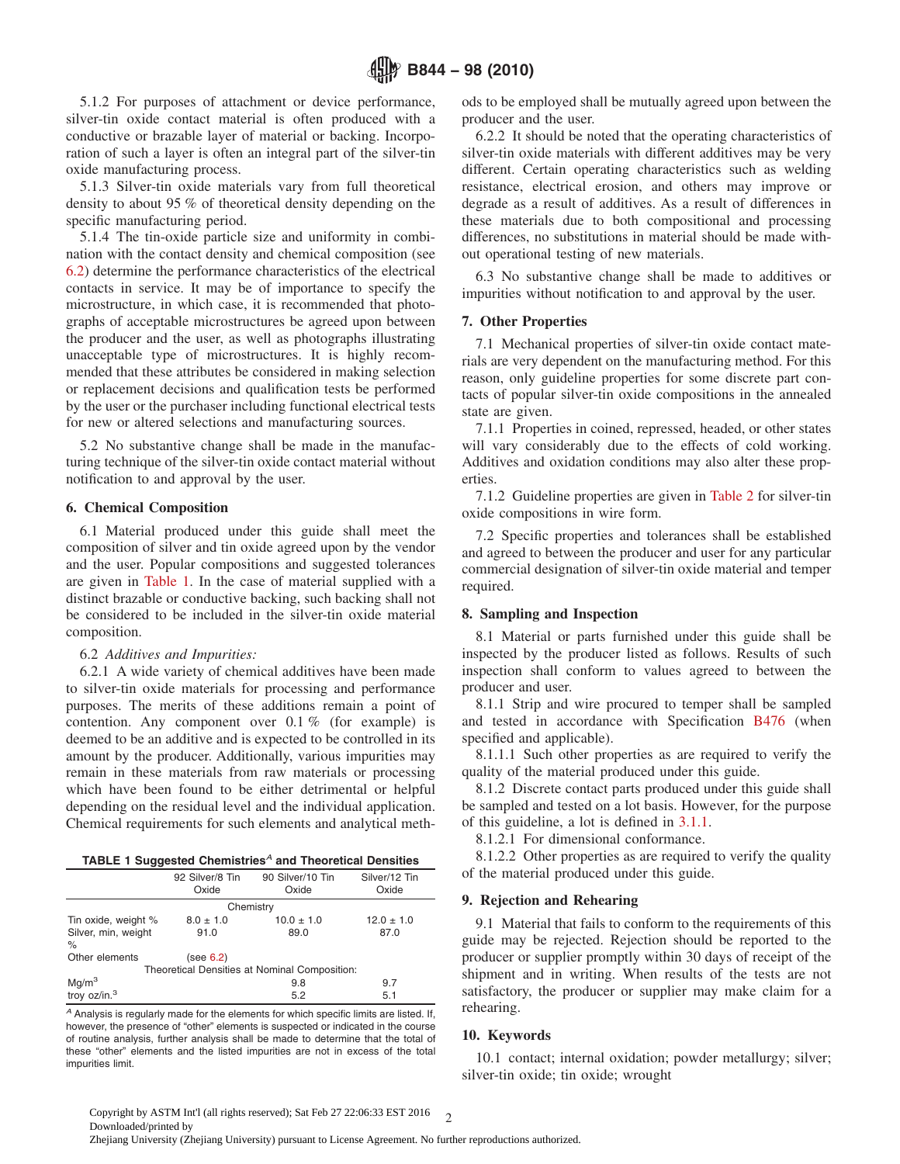<span id="page-1-0"></span>5.1.2 For purposes of attachment or device performance, silver-tin oxide contact material is often produced with a conductive or brazable layer of material or backing. Incorporation of such a layer is often an integral part of the silver-tin oxide manufacturing process.

5.1.3 Silver-tin oxide materials vary from full theoretical density to about 95 % of theoretical density depending on the specific manufacturing period.

5.1.4 The tin-oxide particle size and uniformity in combination with the contact density and chemical composition (see 6.2) determine the performance characteristics of the electrical contacts in service. It may be of importance to specify the microstructure, in which case, it is recommended that photographs of acceptable microstructures be agreed upon between the producer and the user, as well as photographs illustrating unacceptable type of microstructures. It is highly recommended that these attributes be considered in making selection or replacement decisions and qualification tests be performed by the user or the purchaser including functional electrical tests for new or altered selections and manufacturing sources.

5.2 No substantive change shall be made in the manufacturing technique of the silver-tin oxide contact material without notification to and approval by the user.

# **6. Chemical Composition**

6.1 Material produced under this guide shall meet the composition of silver and tin oxide agreed upon by the vendor and the user. Popular compositions and suggested tolerances are given in Table 1. In the case of material supplied with a distinct brazable or conductive backing, such backing shall not be considered to be included in the silver-tin oxide material composition.

# 6.2 *Additives and Impurities:*

6.2.1 A wide variety of chemical additives have been made to silver-tin oxide materials for processing and performance purposes. The merits of these additions remain a point of contention. Any component over  $0.1\%$  (for example) is deemed to be an additive and is expected to be controlled in its amount by the producer. Additionally, various impurities may remain in these materials from raw materials or processing which have been found to be either detrimental or helpful depending on the residual level and the individual application. Chemical requirements for such elements and analytical meth-

| TABLE 1 Suggested Chemistries <sup>A</sup> and Theoretical Densities |  |  |  |
|----------------------------------------------------------------------|--|--|--|
|----------------------------------------------------------------------|--|--|--|

|                                               | 92 Silver/8 Tin<br>Oxide | 90 Silver/10 Tin<br>Oxide | Silver/12 Tin<br>Oxide |  |  |  |  |
|-----------------------------------------------|--------------------------|---------------------------|------------------------|--|--|--|--|
| Chemistry                                     |                          |                           |                        |  |  |  |  |
| Tin oxide, weight %                           | $8.0 \pm 1.0$            | $10.0 \pm 1.0$            | $12.0 \pm 1.0$         |  |  |  |  |
| Silver, min, weight                           | 91.0                     | 89.0                      | 87.0                   |  |  |  |  |
| $\%$                                          |                          |                           |                        |  |  |  |  |
| Other elements                                | (see 6.2)                |                           |                        |  |  |  |  |
| Theoretical Densities at Nominal Composition: |                          |                           |                        |  |  |  |  |
| Mg/m <sup>3</sup>                             |                          | 9.8                       | 9.7                    |  |  |  |  |
| troy oz/in. <sup>3</sup>                      |                          | 5.2                       | 5.1                    |  |  |  |  |

*<sup>A</sup>* Analysis is regularly made for the elements for which specific limits are listed. If, however, the presence of "other" elements is suspected or indicated in the course of routine analysis, further analysis shall be made to determine that the total of these "other" elements and the listed impurities are not in excess of the total impurities limit.

ods to be employed shall be mutually agreed upon between the producer and the user.

6.2.2 It should be noted that the operating characteristics of silver-tin oxide materials with different additives may be very different. Certain operating characteristics such as welding resistance, electrical erosion, and others may improve or degrade as a result of additives. As a result of differences in these materials due to both compositional and processing differences, no substitutions in material should be made without operational testing of new materials.

6.3 No substantive change shall be made to additives or impurities without notification to and approval by the user.

# **7. Other Properties**

7.1 Mechanical properties of silver-tin oxide contact materials are very dependent on the manufacturing method. For this reason, only guideline properties for some discrete part contacts of popular silver-tin oxide compositions in the annealed state are given.

7.1.1 Properties in coined, repressed, headed, or other states will vary considerably due to the effects of cold working. Additives and oxidation conditions may also alter these properties.

7.1.2 Guideline properties are given in [Table 2](#page-2-0) for silver-tin oxide compositions in wire form.

7.2 Specific properties and tolerances shall be established and agreed to between the producer and user for any particular commercial designation of silver-tin oxide material and temper required.

# **8. Sampling and Inspection**

8.1 Material or parts furnished under this guide shall be inspected by the producer listed as follows. Results of such inspection shall conform to values agreed to between the producer and user.

8.1.1 Strip and wire procured to temper shall be sampled and tested in accordance with Specification [B476](#page-0-0) (when specified and applicable).

8.1.1.1 Such other properties as are required to verify the quality of the material produced under this guide.

8.1.2 Discrete contact parts produced under this guide shall be sampled and tested on a lot basis. However, for the purpose of this guideline, a lot is defined in [3.1.1.](#page-0-0)

8.1.2.1 For dimensional conformance.

8.1.2.2 Other properties as are required to verify the quality of the material produced under this guide.

## **9. Rejection and Rehearing**

9.1 Material that fails to conform to the requirements of this guide may be rejected. Rejection should be reported to the producer or supplier promptly within 30 days of receipt of the shipment and in writing. When results of the tests are not satisfactory, the producer or supplier may make claim for a rehearing.

# **10. Keywords**

10.1 contact; internal oxidation; powder metallurgy; silver; silver-tin oxide; tin oxide; wrought